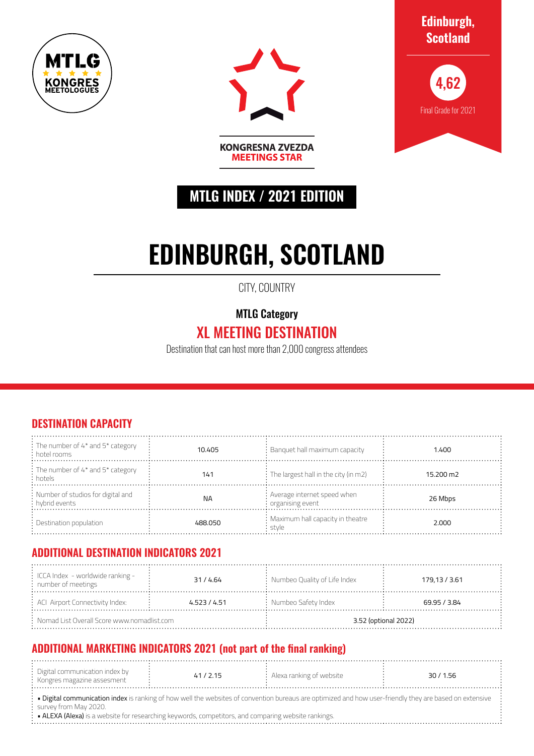



**Edinburgh, Scotland**



## **MTLG INDEX / 2021 EDITION**

**MEETINGS STAR** 

# **EDINBURGH, SCOTLAND**

CITY, COUNTRY

MTLG Category

## XL MEETING DESTINATION

Destination that can host more than 2,000 congress attendees

#### **DESTINATION CAPACITY**

| $\frac{1}{2}$ : The number of 4* and 5* category<br>: hotel rooms | 10.405    | $:$ Banquet hall maximum capacity                               | 1.400     |
|-------------------------------------------------------------------|-----------|-----------------------------------------------------------------|-----------|
| : The number of 4* and 5* category<br>: hotels                    | 141       | $\frac{1}{2}$ : The largest hall in the city (in m2)            | 15.200 m2 |
| : Number of studios for digital and<br>: hybrid events            | <b>NA</b> | : Average internet speed when<br>$\frac{1}{2}$ organising event | 26 Mbps   |
| $\therefore$ Destination population                               | 488.050   | : Maximum hall capacity in theatre<br>stvle                     | 2.000     |

#### **ADDITIONAL DESTINATION INDICATORS 2021**

| $\frac{1}{2}$ ICCA Index - worldwide ranking -<br>: number of meetings | 31/4.64      | : Numbeo Quality of Life Index | 179,13 / 3.61 |  |
|------------------------------------------------------------------------|--------------|--------------------------------|---------------|--|
| $\div$ ACI Airport Connectivity Index:                                 | 4.523 / 4.51 | $:$ Numbeo Safety Index        | 69.95 / 3.84  |  |
| $:$ Nomad List Overall Score www.nomadlist.com                         |              | 3.52 (optional 2022)           |               |  |

### **ADDITIONAL MARKETING INDICATORS 2021 (not part of the final ranking)**

| Digital communication index by |        |                          |         |  |
|--------------------------------|--------|--------------------------|---------|--|
|                                | 41/715 | Alexa ranking of website | 30/1.56 |  |
|                                |        |                          |         |  |
| : Kongres magazine assesment   |        |                          |         |  |
|                                |        |                          |         |  |
| .                              |        |                          |         |  |
|                                |        |                          |         |  |

· Digital communication index is ranking of how well the websites of convention bureaus are optimized and how user-friendly they are based on extensive survey from May 2020.

• ALEXA (Alexa) is a website for researching keywords, competitors, and comparing website rankings.